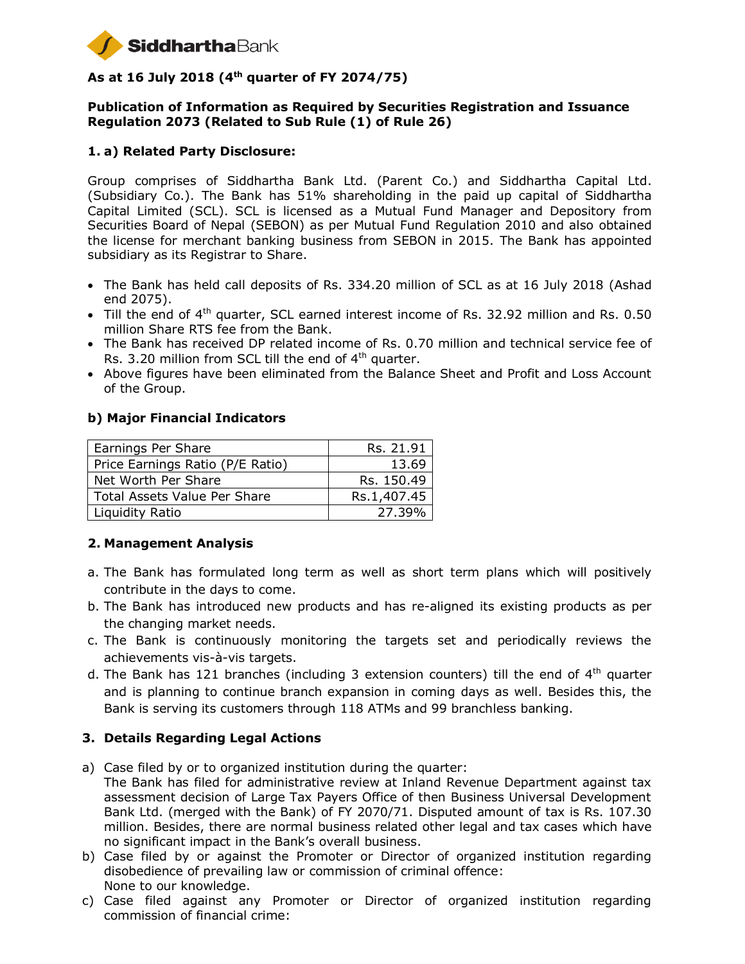

# **As at 16 July 2018 (4 th quarter of FY 2074/75)**

### **Publication of Information as Required by Securities Registration and Issuance Regulation 2073 (Related to Sub Rule (1) of Rule 26)**

### **1. a) Related Party Disclosure:**

Group comprises of Siddhartha Bank Ltd. (Parent Co.) and Siddhartha Capital Ltd. (Subsidiary Co.). The Bank has 51% shareholding in the paid up capital of Siddhartha Capital Limited (SCL). SCL is licensed as a Mutual Fund Manager and Depository from Securities Board of Nepal (SEBON) as per Mutual Fund Regulation 2010 and also obtained the license for merchant banking business from SEBON in 2015. The Bank has appointed subsidiary as its Registrar to Share.

- The Bank has held call deposits of Rs. 334.20 million of SCL as at 16 July 2018 (Ashad end 2075).
- Till the end of 4<sup>th</sup> quarter, SCL earned interest income of Rs. 32.92 million and Rs. 0.50 million Share RTS fee from the Bank.
- The Bank has received DP related income of Rs. 0.70 million and technical service fee of Rs. 3.20 million from SCL till the end of  $4<sup>th</sup>$  quarter.
- Above figures have been eliminated from the Balance Sheet and Profit and Loss Account of the Group.

#### **b) Major Financial Indicators**

| Earnings Per Share                  | Rs. 21.91   |
|-------------------------------------|-------------|
| Price Earnings Ratio (P/E Ratio)    | 13.69       |
| Net Worth Per Share                 | Rs. 150.49  |
| <b>Total Assets Value Per Share</b> | Rs.1,407.45 |
| Liquidity Ratio                     | 27.39%      |

#### **2. Management Analysis**

- a. The Bank has formulated long term as well as short term plans which will positively contribute in the days to come.
- b. The Bank has introduced new products and has re-aligned its existing products as per the changing market needs.
- c. The Bank is continuously monitoring the targets set and periodically reviews the achievements vis-à-vis targets.
- d. The Bank has 121 branches (including 3 extension counters) till the end of 4<sup>th</sup> quarter and is planning to continue branch expansion in coming days as well. Besides this, the Bank is serving its customers through 118 ATMs and 99 branchless banking.

#### **3. Details Regarding Legal Actions**

- a) Case filed by or to organized institution during the quarter: The Bank has filed for administrative review at Inland Revenue Department against tax assessment decision of Large Tax Payers Office of then Business Universal Development Bank Ltd. (merged with the Bank) of FY 2070/71. Disputed amount of tax is Rs. 107.30 million. Besides, there are normal business related other legal and tax cases which have no significant impact in the Bank's overall business.
- b) Case filed by or against the Promoter or Director of organized institution regarding disobedience of prevailing law or commission of criminal offence: None to our knowledge.
- c) Case filed against any Promoter or Director of organized institution regarding commission of financial crime: